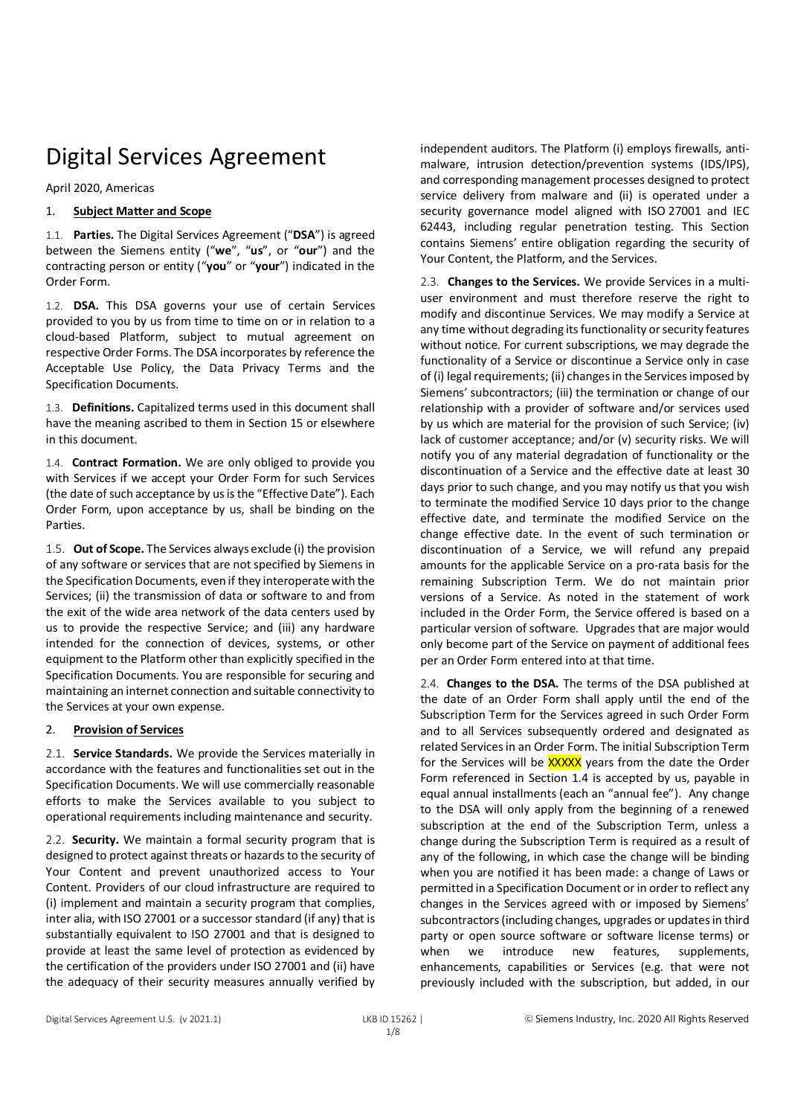# Digital Services Agreement

April 2020, Americas

## 1. **Subject Matter and Scope**

1.1. **Parties.** The Digital Services Agreement ("**DSA**") is agreed between the Siemens entity ("**we**", "**us**", or "**our**") and the contracting person or entity ("**you**" or "**your**") indicated in the Order Form.

1.2. **DSA.** This DSA governs your use of certain Services provided to you by us from time to time on or in relation to a cloud-based Platform, subject to mutual agreement on respective Order Forms. The DSA incorporates by reference the Acceptable Use Policy, the Data Privacy Terms and the Specification Documents.

1.3. **Definitions.** Capitalized terms used in this document shall have the meaning ascribed to them in Section 15 or elsewhere in this document.

1.4. **Contract Formation.** We are only obliged to provide you with Services if we accept your Order Form for such Services (the date of such acceptance by us is the "Effective Date"). Each Order Form, upon acceptance by us, shall be binding on the Parties.

1.5. **Out of Scope.** The Services always exclude (i) the provision of any software or services that are not specified by Siemens in the Specification Documents, even if they interoperate with the Services; (ii) the transmission of data or software to and from the exit of the wide area network of the data centers used by us to provide the respective Service; and (iii) any hardware intended for the connection of devices, systems, or other equipment to the Platform other than explicitly specified in the Specification Documents. You are responsible for securing and maintaining an internet connection and suitable connectivity to the Services at your own expense.

## 2. **Provision of Services**

2.1. **Service Standards.** We provide the Services materially in accordance with the features and functionalities set out in the Specification Documents. We will use commercially reasonable efforts to make the Services available to you subject to operational requirements including maintenance and security.

2.2. **Security.** We maintain a formal security program that is designed to protect against threats or hazards to the security of Your Content and prevent unauthorized access to Your Content. Providers of our cloud infrastructure are required to (i) implement and maintain a security program that complies, inter alia, with ISO 27001 or a successor standard (if any) that is substantially equivalent to ISO 27001 and that is designed to provide at least the same level of protection as evidenced by the certification of the providers under ISO 27001 and (ii) have the adequacy of their security measures annually verified by

independent auditors. The Platform (i) employs firewalls, antimalware, intrusion detection/prevention systems (IDS/IPS), and corresponding management processes designed to protect service delivery from malware and (ii) is operated under a security governance model aligned with ISO 27001 and IEC 62443, including regular penetration testing. This Section contains Siemens' entire obligation regarding the security of Your Content, the Platform, and the Services.

2.3. **Changes to the Services.** We provide Services in a multiuser environment and must therefore reserve the right to modify and discontinue Services. We may modify a Service at any time without degrading its functionality or security features without notice. For current subscriptions, we may degrade the functionality of a Service or discontinue a Service only in case of (i) legal requirements; (ii) changes in the Services imposed by Siemens' subcontractors; (iii) the termination or change of our relationship with a provider of software and/or services used by us which are material for the provision of such Service; (iv) lack of customer acceptance; and/or (v) security risks. We will notify you of any material degradation of functionality or the discontinuation of a Service and the effective date at least 30 days prior to such change, and you may notify us that you wish to terminate the modified Service 10 days prior to the change effective date, and terminate the modified Service on the change effective date. In the event of such termination or discontinuation of a Service, we will refund any prepaid amounts for the applicable Service on a pro-rata basis for the remaining Subscription Term. We do not maintain prior versions of a Service. As noted in the statement of work included in the Order Form, the Service offered is based on a particular version of software. Upgrades that are major would only become part of the Service on payment of additional fees per an Order Form entered into at that time.

2.4. **Changes to the DSA.** The terms of the DSA published at the date of an Order Form shall apply until the end of the Subscription Term for the Services agreed in such Order Form and to all Services subsequently ordered and designated as related Services in an Order Form. The initial Subscription Term for the Services will be **XXXXX** years from the date the Order Form referenced in Section 1.4 is accepted by us, payable in equal annual installments (each an "annual fee"). Any change to the DSA will only apply from the beginning of a renewed subscription at the end of the Subscription Term, unless a change during the Subscription Term is required as a result of any of the following, in which case the change will be binding when you are notified it has been made: a change of Laws or permitted in a Specification Document or in order to reflect any changes in the Services agreed with or imposed by Siemens' subcontractors (including changes, upgrades or updates in third party or open source software or software license terms) or when we introduce new features, supplements, enhancements, capabilities or Services (e.g. that were not previously included with the subscription, but added, in our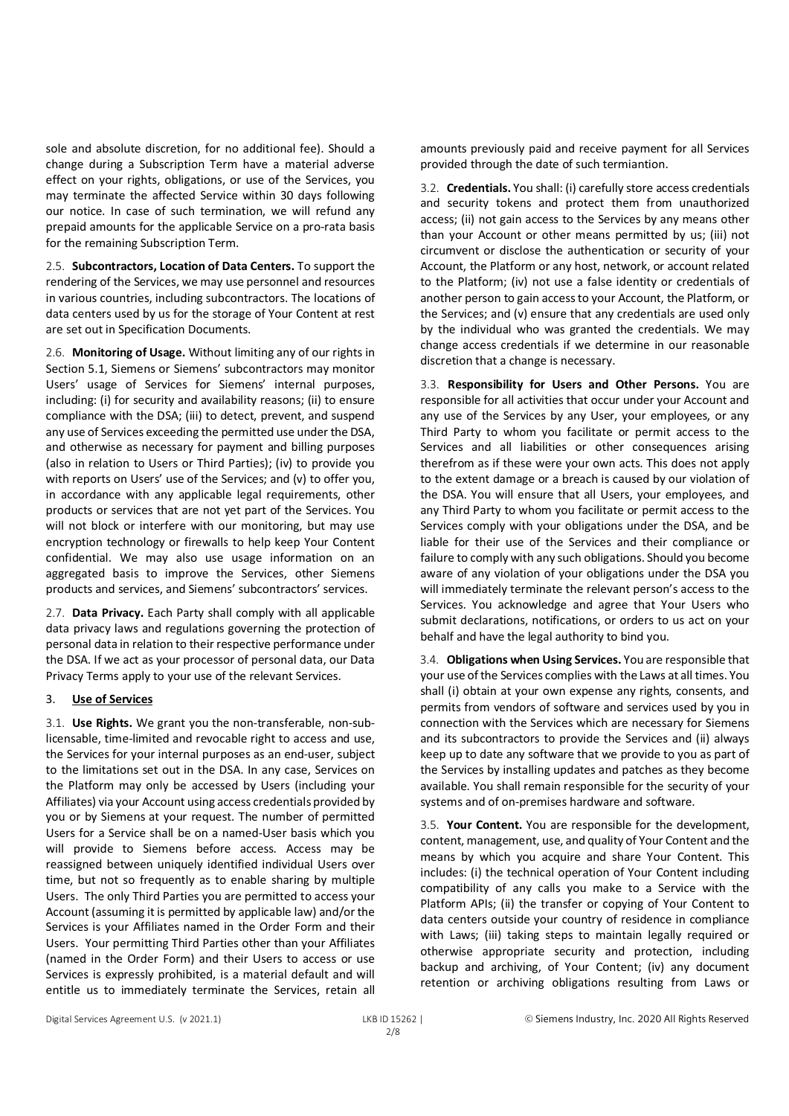sole and absolute discretion, for no additional fee). Should a change during a Subscription Term have a material adverse effect on your rights, obligations, or use of the Services, you may terminate the affected Service within 30 days following our notice. In case of such termination, we will refund any prepaid amounts for the applicable Service on a pro-rata basis for the remaining Subscription Term.

2.5. **Subcontractors, Location of Data Centers.** To support the rendering of the Services, we may use personnel and resources in various countries, including subcontractors. The locations of data centers used by us for the storage of Your Content at rest are set out in Specification Documents.

2.6. **Monitoring of Usage.** Without limiting any of our rights in Section 5.1, Siemens or Siemens' subcontractors may monitor Users' usage of Services for Siemens' internal purposes, including: (i) for security and availability reasons; (ii) to ensure compliance with the DSA; (iii) to detect, prevent, and suspend any use of Services exceeding the permitted use under the DSA, and otherwise as necessary for payment and billing purposes (also in relation to Users or Third Parties); (iv) to provide you with reports on Users' use of the Services; and (v) to offer you, in accordance with any applicable legal requirements, other products or services that are not yet part of the Services. You will not block or interfere with our monitoring, but may use encryption technology or firewalls to help keep Your Content confidential. We may also use usage information on an aggregated basis to improve the Services, other Siemens products and services, and Siemens' subcontractors' services.

2.7. **Data Privacy.** Each Party shall comply with all applicable data privacy laws and regulations governing the protection of personal data in relation to their respective performance under the DSA. If we act as your processor of personal data, our Data Privacy Terms apply to your use of the relevant Services.

#### 3. **Use of Services**

3.1. **Use Rights.** We grant you the non-transferable, non-sublicensable, time-limited and revocable right to access and use, the Services for your internal purposes as an end-user, subject to the limitations set out in the DSA. In any case, Services on the Platform may only be accessed by Users (including your Affiliates) via your Account using access credentials provided by you or by Siemens at your request. The number of permitted Users for a Service shall be on a named-User basis which you will provide to Siemens before access. Access may be reassigned between uniquely identified individual Users over time, but not so frequently as to enable sharing by multiple Users. The only Third Parties you are permitted to access your Account (assuming it is permitted by applicable law) and/or the Services is your Affiliates named in the Order Form and their Users. Your permitting Third Parties other than your Affiliates (named in the Order Form) and their Users to access or use Services is expressly prohibited, is a material default and will entitle us to immediately terminate the Services, retain all

amounts previously paid and receive payment for all Services provided through the date of such termiantion.

3.2. **Credentials.** You shall: (i) carefully store access credentials and security tokens and protect them from unauthorized access; (ii) not gain access to the Services by any means other than your Account or other means permitted by us; (iii) not circumvent or disclose the authentication or security of your Account, the Platform or any host, network, or account related to the Platform; (iv) not use a false identity or credentials of another person to gain access to your Account, the Platform, or the Services; and (v) ensure that any credentials are used only by the individual who was granted the credentials. We may change access credentials if we determine in our reasonable discretion that a change is necessary.

3.3. **Responsibility for Users and Other Persons.** You are responsible for all activities that occur under your Account and any use of the Services by any User, your employees, or any Third Party to whom you facilitate or permit access to the Services and all liabilities or other consequences arising therefrom as if these were your own acts. This does not apply to the extent damage or a breach is caused by our violation of the DSA. You will ensure that all Users, your employees, and any Third Party to whom you facilitate or permit access to the Services comply with your obligations under the DSA, and be liable for their use of the Services and their compliance or failure to comply with any such obligations. Should you become aware of any violation of your obligations under the DSA you will immediately terminate the relevant person's access to the Services. You acknowledge and agree that Your Users who submit declarations, notifications, or orders to us act on your behalf and have the legal authority to bind you.

3.4. **Obligations when Using Services.** You are responsible that your use of the Services complies with the Laws at all times. You shall (i) obtain at your own expense any rights, consents, and permits from vendors of software and services used by you in connection with the Services which are necessary for Siemens and its subcontractors to provide the Services and (ii) always keep up to date any software that we provide to you as part of the Services by installing updates and patches as they become available. You shall remain responsible for the security of your systems and of on-premises hardware and software.

3.5. **Your Content.** You are responsible for the development, content, management, use, and quality of Your Content and the means by which you acquire and share Your Content. This includes: (i) the technical operation of Your Content including compatibility of any calls you make to a Service with the Platform APIs; (ii) the transfer or copying of Your Content to data centers outside your country of residence in compliance with Laws; (iii) taking steps to maintain legally required or otherwise appropriate security and protection, including backup and archiving, of Your Content; (iv) any document retention or archiving obligations resulting from Laws or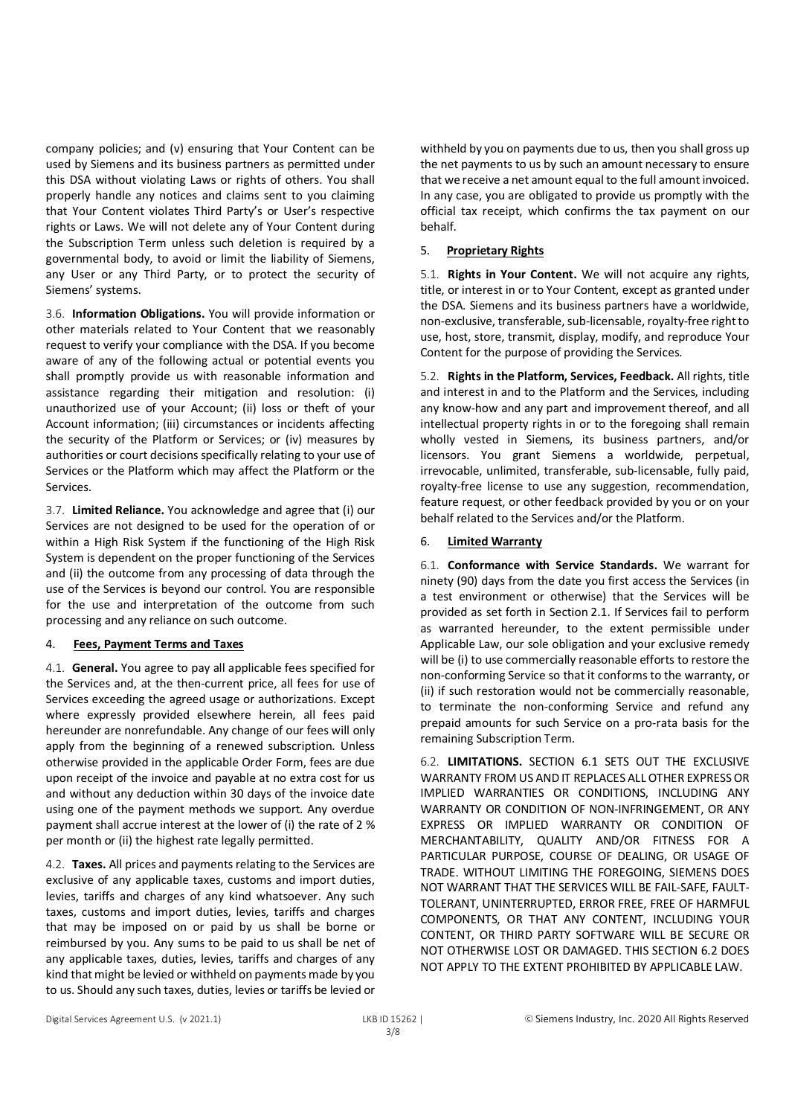company policies; and (v) ensuring that Your Content can be used by Siemens and its business partners as permitted under this DSA without violating Laws or rights of others. You shall properly handle any notices and claims sent to you claiming that Your Content violates Third Party's or User's respective rights or Laws. We will not delete any of Your Content during the Subscription Term unless such deletion is required by a governmental body, to avoid or limit the liability of Siemens, any User or any Third Party, or to protect the security of Siemens' systems.

3.6. **Information Obligations.** You will provide information or other materials related to Your Content that we reasonably request to verify your compliance with the DSA. If you become aware of any of the following actual or potential events you shall promptly provide us with reasonable information and assistance regarding their mitigation and resolution: (i) unauthorized use of your Account; (ii) loss or theft of your Account information; (iii) circumstances or incidents affecting the security of the Platform or Services; or (iv) measures by authorities or court decisions specifically relating to your use of Services or the Platform which may affect the Platform or the Services.

3.7. **Limited Reliance.** You acknowledge and agree that (i) our Services are not designed to be used for the operation of or within a High Risk System if the functioning of the High Risk System is dependent on the proper functioning of the Services and (ii) the outcome from any processing of data through the use of the Services is beyond our control. You are responsible for the use and interpretation of the outcome from such processing and any reliance on such outcome.

#### 4. **Fees, Payment Terms and Taxes**

4.1. **General.** You agree to pay all applicable fees specified for the Services and, at the then-current price, all fees for use of Services exceeding the agreed usage or authorizations. Except where expressly provided elsewhere herein, all fees paid hereunder are nonrefundable. Any change of our fees will only apply from the beginning of a renewed subscription. Unless otherwise provided in the applicable Order Form, fees are due upon receipt of the invoice and payable at no extra cost for us and without any deduction within 30 days of the invoice date using one of the payment methods we support. Any overdue payment shall accrue interest at the lower of (i) the rate of 2 % per month or (ii) the highest rate legally permitted.

4.2. **Taxes.** All prices and payments relating to the Services are exclusive of any applicable taxes, customs and import duties, levies, tariffs and charges of any kind whatsoever. Any such taxes, customs and import duties, levies, tariffs and charges that may be imposed on or paid by us shall be borne or reimbursed by you. Any sums to be paid to us shall be net of any applicable taxes, duties, levies, tariffs and charges of any kind that might be levied or withheld on payments made by you to us. Should any such taxes, duties, levies or tariffs be levied or

withheld by you on payments due to us, then you shall gross up the net payments to us by such an amount necessary to ensure that we receive a net amount equal to the full amount invoiced. In any case, you are obligated to provide us promptly with the official tax receipt, which confirms the tax payment on our behalf.

## 5. **Proprietary Rights**

5.1. **Rights in Your Content.** We will not acquire any rights, title, or interest in or to Your Content, except as granted under the DSA. Siemens and its business partners have a worldwide, non-exclusive, transferable, sub-licensable, royalty-free right to use, host, store, transmit, display, modify, and reproduce Your Content for the purpose of providing the Services.

5.2. **Rights in the Platform, Services, Feedback.** All rights, title and interest in and to the Platform and the Services, including any know-how and any part and improvement thereof, and all intellectual property rights in or to the foregoing shall remain wholly vested in Siemens, its business partners, and/or licensors. You grant Siemens a worldwide, perpetual, irrevocable, unlimited, transferable, sub-licensable, fully paid, royalty-free license to use any suggestion, recommendation, feature request, or other feedback provided by you or on your behalf related to the Services and/or the Platform.

## 6. **Limited Warranty**

6.1. **Conformance with Service Standards.** We warrant for ninety (90) days from the date you first access the Services (in a test environment or otherwise) that the Services will be provided as set forth in Section 2.1. If Services fail to perform as warranted hereunder, to the extent permissible under Applicable Law, our sole obligation and your exclusive remedy will be (i) to use commercially reasonable efforts to restore the non-conforming Service so that it conforms to the warranty, or (ii) if such restoration would not be commercially reasonable, to terminate the non-conforming Service and refund any prepaid amounts for such Service on a pro-rata basis for the remaining Subscription Term.

6.2. **LIMITATIONS.** SECTION 6.1 SETS OUT THE EXCLUSIVE WARRANTY FROM US AND IT REPLACES ALL OTHER EXPRESS OR IMPLIED WARRANTIES OR CONDITIONS, INCLUDING ANY WARRANTY OR CONDITION OF NON-INFRINGEMENT, OR ANY EXPRESS OR IMPLIED WARRANTY OR CONDITION OF MERCHANTABILITY, QUALITY AND/OR FITNESS FOR A PARTICULAR PURPOSE, COURSE OF DEALING, OR USAGE OF TRADE. WITHOUT LIMITING THE FOREGOING, SIEMENS DOES NOT WARRANT THAT THE SERVICES WILL BE FAIL-SAFE, FAULT-TOLERANT, UNINTERRUPTED, ERROR FREE, FREE OF HARMFUL COMPONENTS, OR THAT ANY CONTENT, INCLUDING YOUR CONTENT, OR THIRD PARTY SOFTWARE WILL BE SECURE OR NOT OTHERWISE LOST OR DAMAGED. THIS SECTION 6.2 DOES NOT APPLY TO THE EXTENT PROHIBITED BY APPLICABLE LAW.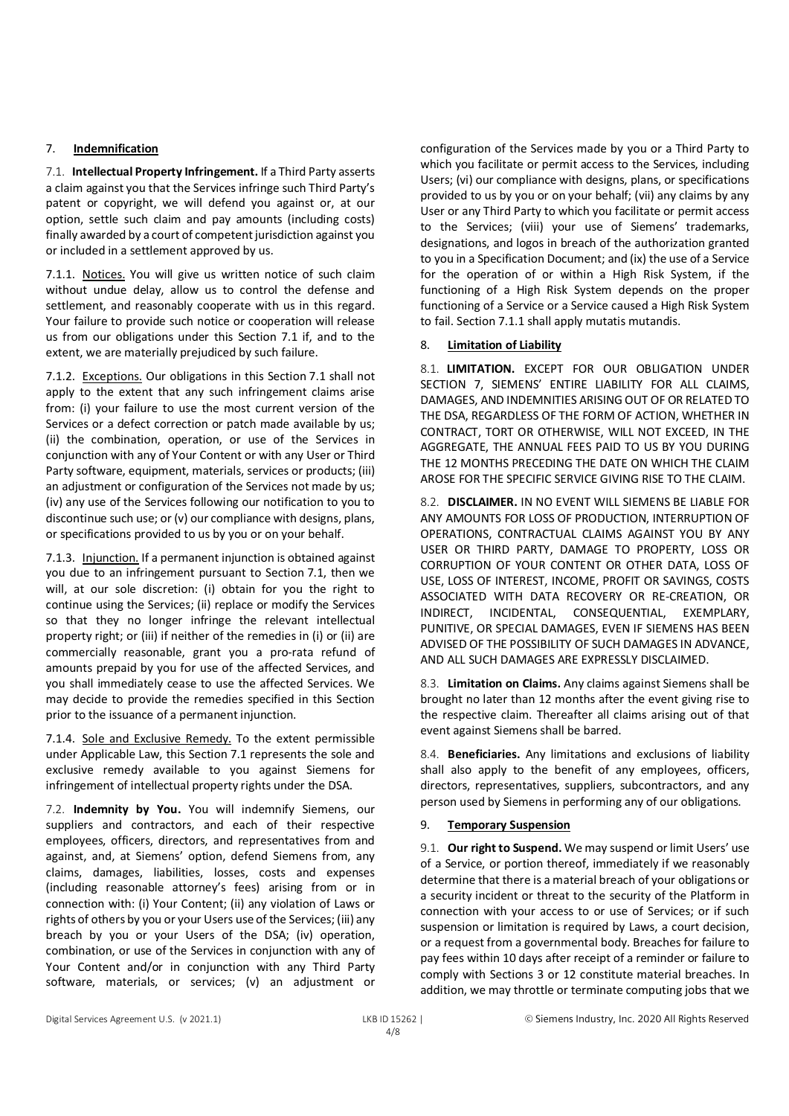## 7. **Indemnification**

7.1. **Intellectual Property Infringement.** If a Third Party asserts a claim against you that the Services infringe such Third Party's patent or copyright, we will defend you against or, at our option, settle such claim and pay amounts (including costs) finally awarded by a court of competent jurisdiction against you or included in a settlement approved by us.

7.1.1. Notices. You will give us written notice of such claim without undue delay, allow us to control the defense and settlement, and reasonably cooperate with us in this regard. Your failure to provide such notice or cooperation will release us from our obligations under this Section 7.1 if, and to the extent, we are materially prejudiced by such failure.

7.1.2. Exceptions. Our obligations in this Section 7.1 shall not apply to the extent that any such infringement claims arise from: (i) your failure to use the most current version of the Services or a defect correction or patch made available by us; (ii) the combination, operation, or use of the Services in conjunction with any of Your Content or with any User or Third Party software, equipment, materials, services or products; (iii) an adjustment or configuration of the Services not made by us; (iv) any use of the Services following our notification to you to discontinue such use; or (v) our compliance with designs, plans, or specifications provided to us by you or on your behalf.

7.1.3. Injunction. If a permanent injunction is obtained against you due to an infringement pursuant to Section 7.1, then we will, at our sole discretion: (i) obtain for you the right to continue using the Services; (ii) replace or modify the Services so that they no longer infringe the relevant intellectual property right; or (iii) if neither of the remedies in (i) or (ii) are commercially reasonable, grant you a pro-rata refund of amounts prepaid by you for use of the affected Services, and you shall immediately cease to use the affected Services. We may decide to provide the remedies specified in this Section prior to the issuance of a permanent injunction.

7.1.4. Sole and Exclusive Remedy. To the extent permissible under Applicable Law, this Section 7.1 represents the sole and exclusive remedy available to you against Siemens for infringement of intellectual property rights under the DSA.

7.2. **Indemnity by You.** You will indemnify Siemens, our suppliers and contractors, and each of their respective employees, officers, directors, and representatives from and against, and, at Siemens' option, defend Siemens from, any claims, damages, liabilities, losses, costs and expenses (including reasonable attorney's fees) arising from or in connection with: (i) Your Content; (ii) any violation of Laws or rights of others by you or your Users use of the Services; (iii) any breach by you or your Users of the DSA; (iv) operation, combination, or use of the Services in conjunction with any of Your Content and/or in conjunction with any Third Party software, materials, or services; (v) an adjustment or configuration of the Services made by you or a Third Party to which you facilitate or permit access to the Services, including Users; (vi) our compliance with designs, plans, or specifications provided to us by you or on your behalf; (vii) any claims by any User or any Third Party to which you facilitate or permit access to the Services; (viii) your use of Siemens' trademarks, designations, and logos in breach of the authorization granted to you in a Specification Document; and (ix) the use of a Service for the operation of or within a High Risk System, if the functioning of a High Risk System depends on the proper functioning of a Service or a Service caused a High Risk System to fail. Section 7.1.1 shall apply mutatis mutandis.

## 8. **Limitation of Liability**

8.1. **LIMITATION.** EXCEPT FOR OUR OBLIGATION UNDER SECTION 7, SIEMENS' ENTIRE LIABILITY FOR ALL CLAIMS, DAMAGES, AND INDEMNITIES ARISING OUT OF OR RELATED TO THE DSA, REGARDLESS OF THE FORM OF ACTION, WHETHER IN CONTRACT, TORT OR OTHERWISE, WILL NOT EXCEED, IN THE AGGREGATE, THE ANNUAL FEES PAID TO US BY YOU DURING THE 12 MONTHS PRECEDING THE DATE ON WHICH THE CLAIM AROSE FOR THE SPECIFIC SERVICE GIVING RISE TO THE CLAIM.

8.2. **DISCLAIMER.** IN NO EVENT WILL SIEMENS BE LIABLE FOR ANY AMOUNTS FOR LOSS OF PRODUCTION, INTERRUPTION OF OPERATIONS, CONTRACTUAL CLAIMS AGAINST YOU BY ANY USER OR THIRD PARTY, DAMAGE TO PROPERTY, LOSS OR CORRUPTION OF YOUR CONTENT OR OTHER DATA, LOSS OF USE, LOSS OF INTEREST, INCOME, PROFIT OR SAVINGS, COSTS ASSOCIATED WITH DATA RECOVERY OR RE-CREATION, OR INDIRECT, INCIDENTAL, CONSEQUENTIAL, EXEMPLARY, PUNITIVE, OR SPECIAL DAMAGES, EVEN IF SIEMENS HAS BEEN ADVISED OF THE POSSIBILITY OF SUCH DAMAGES IN ADVANCE, AND ALL SUCH DAMAGES ARE EXPRESSLY DISCLAIMED.

8.3. **Limitation on Claims.** Any claims against Siemens shall be brought no later than 12 months after the event giving rise to the respective claim. Thereafter all claims arising out of that event against Siemens shall be barred.

8.4. **Beneficiaries.** Any limitations and exclusions of liability shall also apply to the benefit of any employees, officers, directors, representatives, suppliers, subcontractors, and any person used by Siemens in performing any of our obligations.

## 9. **Temporary Suspension**

9.1. **Our right to Suspend.** We may suspend or limit Users' use of a Service, or portion thereof, immediately if we reasonably determine that there is a material breach of your obligations or a security incident or threat to the security of the Platform in connection with your access to or use of Services; or if such suspension or limitation is required by Laws, a court decision, or a request from a governmental body. Breaches for failure to pay fees within 10 days after receipt of a reminder or failure to comply with Sections 3 or 12 constitute material breaches. In addition, we may throttle or terminate computing jobs that we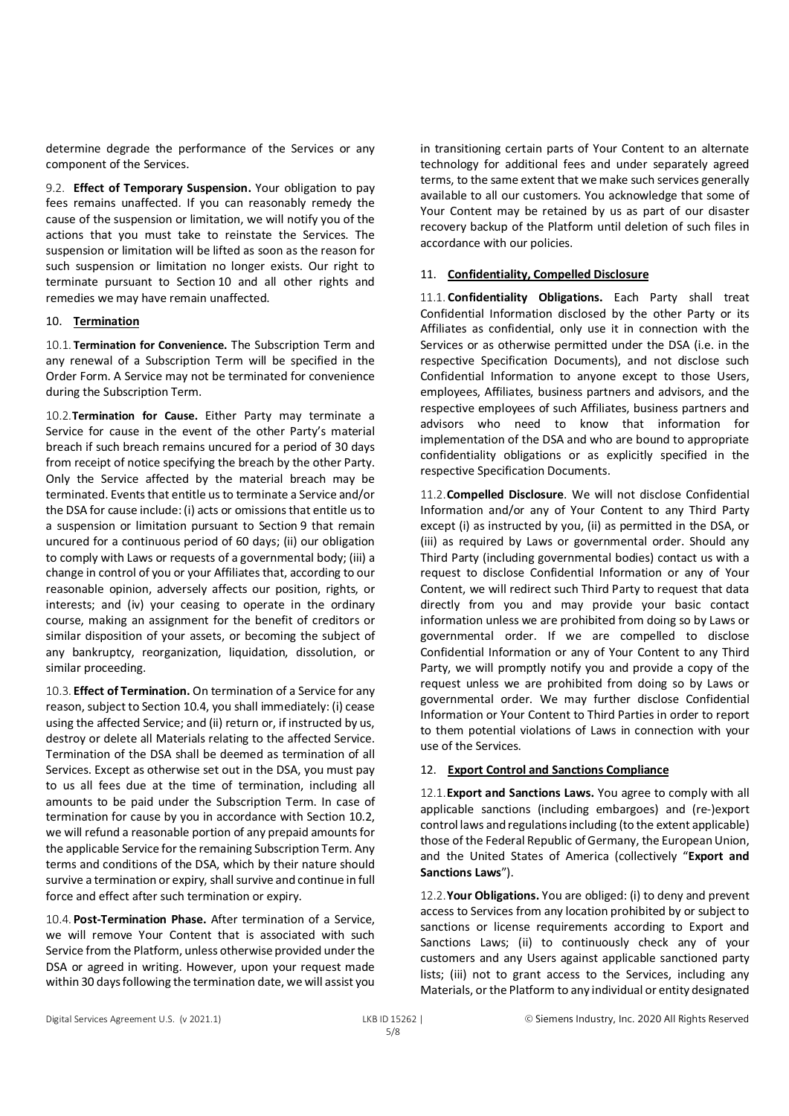determine degrade the performance of the Services or any component of the Services.

9.2. **Effect of Temporary Suspension.** Your obligation to pay fees remains unaffected. If you can reasonably remedy the cause of the suspension or limitation, we will notify you of the actions that you must take to reinstate the Services. The suspension or limitation will be lifted as soon as the reason for such suspension or limitation no longer exists. Our right to terminate pursuant to Section 10 and all other rights and remedies we may have remain unaffected.

## 10. **Termination**

10.1. **Termination for Convenience.** The Subscription Term and any renewal of a Subscription Term will be specified in the Order Form. A Service may not be terminated for convenience during the Subscription Term.

10.2.**Termination for Cause.** Either Party may terminate a Service for cause in the event of the other Party's material breach if such breach remains uncured for a period of 30 days from receipt of notice specifying the breach by the other Party. Only the Service affected by the material breach may be terminated. Events that entitle us to terminate a Service and/or the DSA for cause include: (i) acts or omissions that entitle us to a suspension or limitation pursuant to Section 9 that remain uncured for a continuous period of 60 days; (ii) our obligation to comply with Laws or requests of a governmental body; (iii) a change in control of you or your Affiliates that, according to our reasonable opinion, adversely affects our position, rights, or interests; and (iv) your ceasing to operate in the ordinary course, making an assignment for the benefit of creditors or similar disposition of your assets, or becoming the subject of any bankruptcy, reorganization, liquidation, dissolution, or similar proceeding.

10.3. **Effect of Termination.** On termination of a Service for any reason, subject to Section 10.4, you shall immediately: (i) cease using the affected Service; and (ii) return or, if instructed by us, destroy or delete all Materials relating to the affected Service. Termination of the DSA shall be deemed as termination of all Services. Except as otherwise set out in the DSA, you must pay to us all fees due at the time of termination, including all amounts to be paid under the Subscription Term. In case of termination for cause by you in accordance with Section 10.2, we will refund a reasonable portion of any prepaid amounts for the applicable Service for the remaining Subscription Term. Any terms and conditions of the DSA, which by their nature should survive a termination or expiry, shall survive and continue in full force and effect after such termination or expiry.

10.4. **Post-Termination Phase.** After termination of a Service, we will remove Your Content that is associated with such Service from the Platform, unless otherwise provided under the DSA or agreed in writing. However, upon your request made within 30 days following the termination date, we will assist you in transitioning certain parts of Your Content to an alternate technology for additional fees and under separately agreed terms, to the same extent that we make such services generally available to all our customers. You acknowledge that some of Your Content may be retained by us as part of our disaster recovery backup of the Platform until deletion of such files in accordance with our policies.

## 11. **Confidentiality, Compelled Disclosure**

11.1. **Confidentiality Obligations.** Each Party shall treat Confidential Information disclosed by the other Party or its Affiliates as confidential, only use it in connection with the Services or as otherwise permitted under the DSA (i.e. in the respective Specification Documents), and not disclose such Confidential Information to anyone except to those Users, employees, Affiliates, business partners and advisors, and the respective employees of such Affiliates, business partners and advisors who need to know that information for implementation of the DSA and who are bound to appropriate confidentiality obligations or as explicitly specified in the respective Specification Documents.

11.2.**Compelled Disclosure**. We will not disclose Confidential Information and/or any of Your Content to any Third Party except (i) as instructed by you, (ii) as permitted in the DSA, or (iii) as required by Laws or governmental order. Should any Third Party (including governmental bodies) contact us with a request to disclose Confidential Information or any of Your Content, we will redirect such Third Party to request that data directly from you and may provide your basic contact information unless we are prohibited from doing so by Laws or governmental order. If we are compelled to disclose Confidential Information or any of Your Content to any Third Party, we will promptly notify you and provide a copy of the request unless we are prohibited from doing so by Laws or governmental order. We may further disclose Confidential Information or Your Content to Third Parties in order to report to them potential violations of Laws in connection with your use of the Services.

#### 12. **Export Control and Sanctions Compliance**

12.1.**Export and Sanctions Laws.** You agree to comply with all applicable sanctions (including embargoes) and (re-)export control laws and regulations including (to the extent applicable) those of the Federal Republic of Germany, the European Union, and the United States of America (collectively "**Export and Sanctions Laws**").

12.2.**Your Obligations.** You are obliged: (i) to deny and prevent access to Services from any location prohibited by or subject to sanctions or license requirements according to Export and Sanctions Laws; (ii) to continuously check any of your customers and any Users against applicable sanctioned party lists; (iii) not to grant access to the Services, including any Materials, or the Platform to any individual or entity designated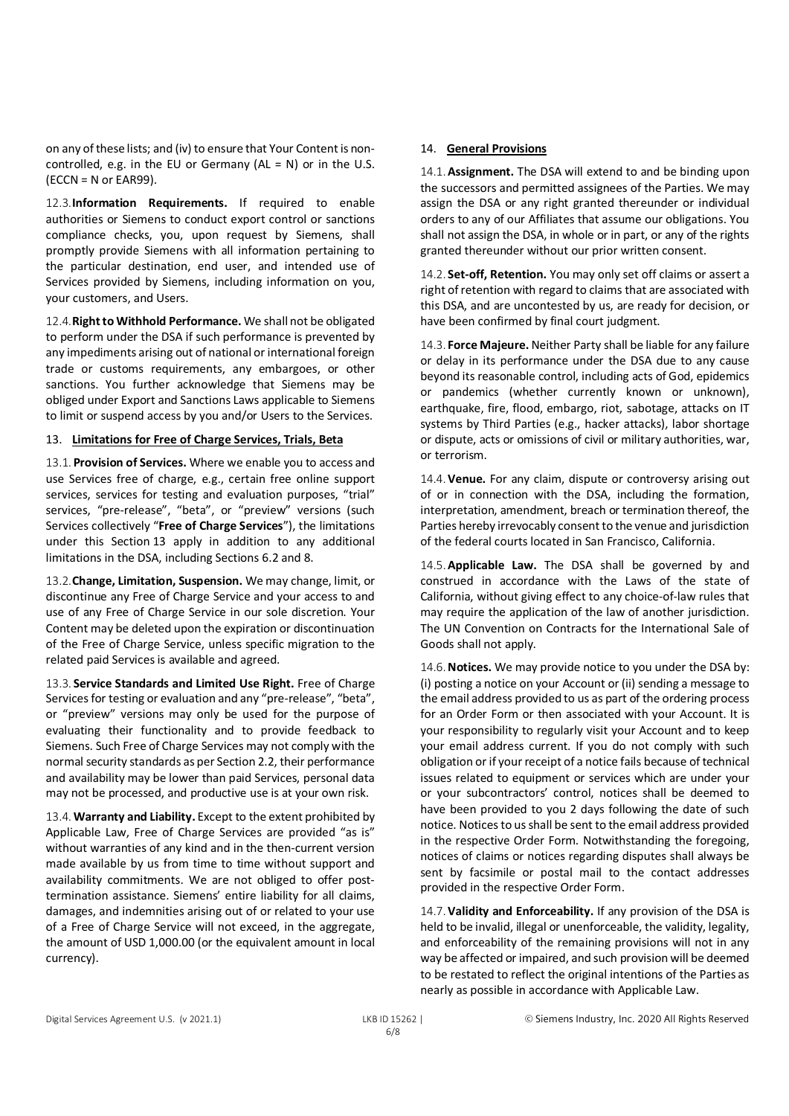on any of these lists; and (iv) to ensure that Your Content is noncontrolled, e.g. in the EU or Germany  $(AL = N)$  or in the U.S.  $(ECCN = N or EAR99)$ .

12.3.**Information Requirements.** If required to enable authorities or Siemens to conduct export control or sanctions compliance checks, you, upon request by Siemens, shall promptly provide Siemens with all information pertaining to the particular destination, end user, and intended use of Services provided by Siemens, including information on you, your customers, and Users.

12.4.**Right to Withhold Performance.** We shall not be obligated to perform under the DSA if such performance is prevented by any impediments arising out of national or international foreign trade or customs requirements, any embargoes, or other sanctions. You further acknowledge that Siemens may be obliged under Export and Sanctions Laws applicable to Siemens to limit or suspend access by you and/or Users to the Services.

## 13. **Limitations for Free of Charge Services, Trials, Beta**

13.1. **Provision of Services.** Where we enable you to access and use Services free of charge, e.g., certain free online support services, services for testing and evaluation purposes, "trial" services, "pre-release", "beta", or "preview" versions (such Services collectively "**Free of Charge Services**"), the limitations under this Section 13 apply in addition to any additional limitations in the DSA, including Sections 6.2 and 8.

13.2.**Change, Limitation, Suspension.** We may change, limit, or discontinue any Free of Charge Service and your access to and use of any Free of Charge Service in our sole discretion. Your Content may be deleted upon the expiration or discontinuation of the Free of Charge Service, unless specific migration to the related paid Services is available and agreed.

13.3. **Service Standards and Limited Use Right.** Free of Charge Services for testing or evaluation and any "pre-release", "beta", or "preview" versions may only be used for the purpose of evaluating their functionality and to provide feedback to Siemens. Such Free of Charge Services may not comply with the normal security standards as per Section 2.2, their performance and availability may be lower than paid Services, personal data may not be processed, and productive use is at your own risk.

13.4.**Warranty and Liability.** Except to the extent prohibited by Applicable Law, Free of Charge Services are provided "as is" without warranties of any kind and in the then-current version made available by us from time to time without support and availability commitments. We are not obliged to offer posttermination assistance. Siemens' entire liability for all claims, damages, and indemnities arising out of or related to your use of a Free of Charge Service will not exceed, in the aggregate, the amount of USD 1,000.00 (or the equivalent amount in local currency).

## 14. **General Provisions**

14.1.**Assignment.** The DSA will extend to and be binding upon the successors and permitted assignees of the Parties. We may assign the DSA or any right granted thereunder or individual orders to any of our Affiliates that assume our obligations. You shall not assign the DSA, in whole or in part, or any of the rights granted thereunder without our prior written consent.

14.2. **Set-off, Retention.** You may only set off claims or assert a right of retention with regard to claims that are associated with this DSA, and are uncontested by us, are ready for decision, or have been confirmed by final court judgment.

14.3. **Force Majeure.** Neither Party shall be liable for any failure or delay in its performance under the DSA due to any cause beyond its reasonable control, including acts of God, epidemics or pandemics (whether currently known or unknown), earthquake, fire, flood, embargo, riot, sabotage, attacks on IT systems by Third Parties (e.g., hacker attacks), labor shortage or dispute, acts or omissions of civil or military authorities, war, or terrorism.

14.4.**Venue.** For any claim, dispute or controversy arising out of or in connection with the DSA, including the formation, interpretation, amendment, breach or termination thereof, the Parties hereby irrevocably consent to the venue and jurisdiction of the federal courts located in San Francisco, California.

14.5.**Applicable Law.** The DSA shall be governed by and construed in accordance with the Laws of the state of California, without giving effect to any choice-of-law rules that may require the application of the law of another jurisdiction. The UN Convention on Contracts for the International Sale of Goods shall not apply.

14.6.**Notices.** We may provide notice to you under the DSA by: (i) posting a notice on your Account or (ii) sending a message to the email address provided to us as part of the ordering process for an Order Form or then associated with your Account. It is your responsibility to regularly visit your Account and to keep your email address current. If you do not comply with such obligation or if your receipt of a notice fails because of technical issues related to equipment or services which are under your or your subcontractors' control, notices shall be deemed to have been provided to you 2 days following the date of such notice. Notices to us shall be sent to the email address provided in the respective Order Form. Notwithstanding the foregoing, notices of claims or notices regarding disputes shall always be sent by facsimile or postal mail to the contact addresses provided in the respective Order Form.

14.7.**Validity and Enforceability.** If any provision of the DSA is held to be invalid, illegal or unenforceable, the validity, legality, and enforceability of the remaining provisions will not in any way be affected or impaired, and such provision will be deemed to be restated to reflect the original intentions of the Parties as nearly as possible in accordance with Applicable Law.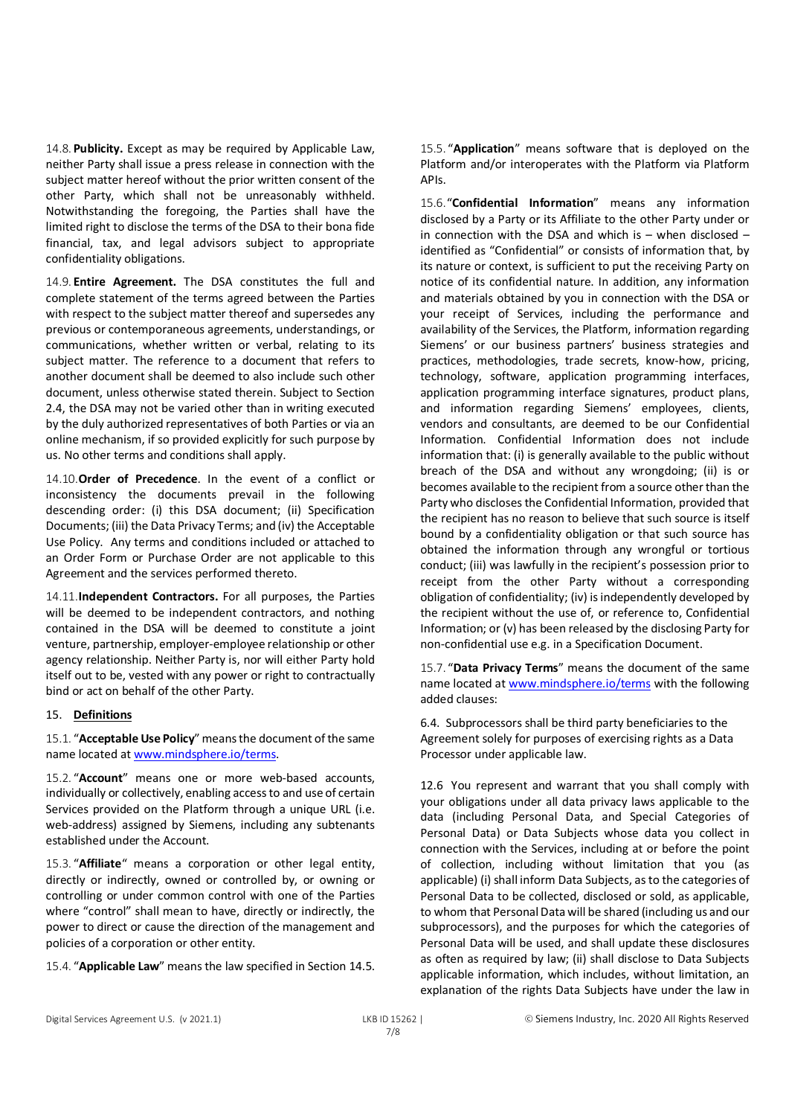14.8. **Publicity.** Except as may be required by Applicable Law, neither Party shall issue a press release in connection with the subject matter hereof without the prior written consent of the other Party, which shall not be unreasonably withheld. Notwithstanding the foregoing, the Parties shall have the limited right to disclose the terms of the DSA to their bona fide financial, tax, and legal advisors subject to appropriate confidentiality obligations.

14.9. **Entire Agreement.** The DSA constitutes the full and complete statement of the terms agreed between the Parties with respect to the subject matter thereof and supersedes any previous or contemporaneous agreements, understandings, or communications, whether written or verbal, relating to its subject matter. The reference to a document that refers to another document shall be deemed to also include such other document, unless otherwise stated therein. Subject to Section 2.4, the DSA may not be varied other than in writing executed by the duly authorized representatives of both Parties or via an online mechanism, if so provided explicitly for such purpose by us. No other terms and conditions shall apply.

14.10.**Order of Precedence**. In the event of a conflict or inconsistency the documents prevail in the following descending order: (i) this DSA document; (ii) Specification Documents; (iii) the Data Privacy Terms; and (iv) the Acceptable Use Policy. Any terms and conditions included or attached to an Order Form or Purchase Order are not applicable to this Agreement and the services performed thereto.

14.11.**Independent Contractors.** For all purposes, the Parties will be deemed to be independent contractors, and nothing contained in the DSA will be deemed to constitute a joint venture, partnership, employer-employee relationship or other agency relationship. Neither Party is, nor will either Party hold itself out to be, vested with any power or right to contractually bind or act on behalf of the other Party.

#### 15. **Definitions**

15.1. "**Acceptable Use Policy**" means the document of the same name located at www.mindsphere.io/terms.

15.2. "**Account**" means one or more web-based accounts, individually or collectively, enabling access to and use of certain Services provided on the Platform through a unique URL (i.e. web-address) assigned by Siemens, including any subtenants established under the Account.

15.3. "**Affiliate**" means a corporation or other legal entity, directly or indirectly, owned or controlled by, or owning or controlling or under common control with one of the Parties where "control" shall mean to have, directly or indirectly, the power to direct or cause the direction of the management and policies of a corporation or other entity.

15.4. "**Applicable Law**" means the law specified in Section 14.5.

15.5. "**Application**" means software that is deployed on the Platform and/or interoperates with the Platform via Platform APIs.

15.6."**Confidential Information**" means any information disclosed by a Party or its Affiliate to the other Party under or in connection with the DSA and which is – when disclosed – identified as "Confidential" or consists of information that, by its nature or context, is sufficient to put the receiving Party on notice of its confidential nature. In addition, any information and materials obtained by you in connection with the DSA or your receipt of Services, including the performance and availability of the Services, the Platform, information regarding Siemens' or our business partners' business strategies and practices, methodologies, trade secrets, know-how, pricing, technology, software, application programming interfaces, application programming interface signatures, product plans, and information regarding Siemens' employees, clients, vendors and consultants, are deemed to be our Confidential Information. Confidential Information does not include information that: (i) is generally available to the public without breach of the DSA and without any wrongdoing; (ii) is or becomes available to the recipient from a source other than the Party who discloses the Confidential Information, provided that the recipient has no reason to believe that such source is itself bound by a confidentiality obligation or that such source has obtained the information through any wrongful or tortious conduct; (iii) was lawfully in the recipient's possession prior to receipt from the other Party without a corresponding obligation of confidentiality; (iv) is independently developed by the recipient without the use of, or reference to, Confidential Information; or (v) has been released by the disclosing Party for non-confidential use e.g. in a Specification Document.

15.7. "**Data Privacy Terms**" means the document of the same name located at www.mindsphere.io/terms with the following added clauses:

6.4. Subprocessors shall be third party beneficiaries to the Agreement solely for purposes of exercising rights as a Data Processor under applicable law.

12.6 You represent and warrant that you shall comply with your obligations under all data privacy laws applicable to the data (including Personal Data, and Special Categories of Personal Data) or Data Subjects whose data you collect in connection with the Services, including at or before the point of collection, including without limitation that you (as applicable) (i) shall inform Data Subjects, as to the categories of Personal Data to be collected, disclosed or sold, as applicable, to whom that Personal Data will be shared (including us and our subprocessors), and the purposes for which the categories of Personal Data will be used, and shall update these disclosures as often as required by law; (ii) shall disclose to Data Subjects applicable information, which includes, without limitation, an explanation of the rights Data Subjects have under the law in